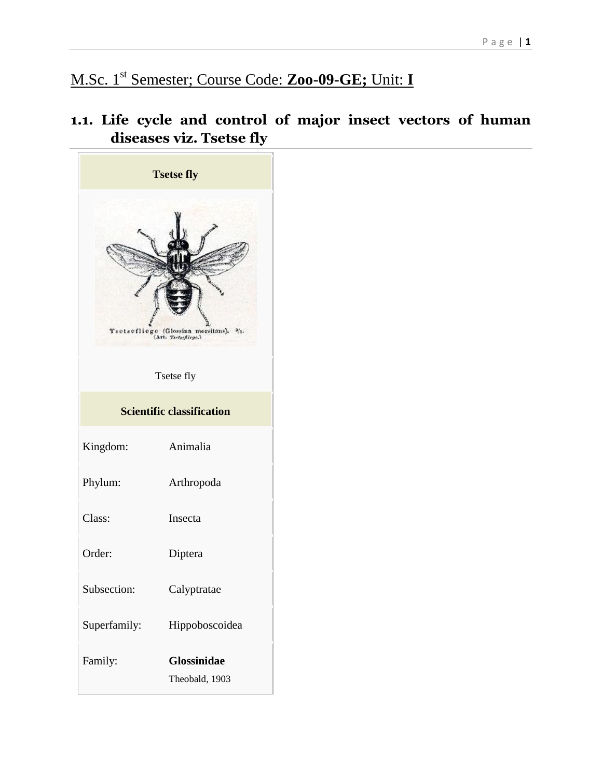# M.Sc. 1st Semester; Course Code: **Zoo-09-GE;** Unit: **I**

**1.1. Life cycle and control of major insect vectors of human diseases viz. Tsetse fly**

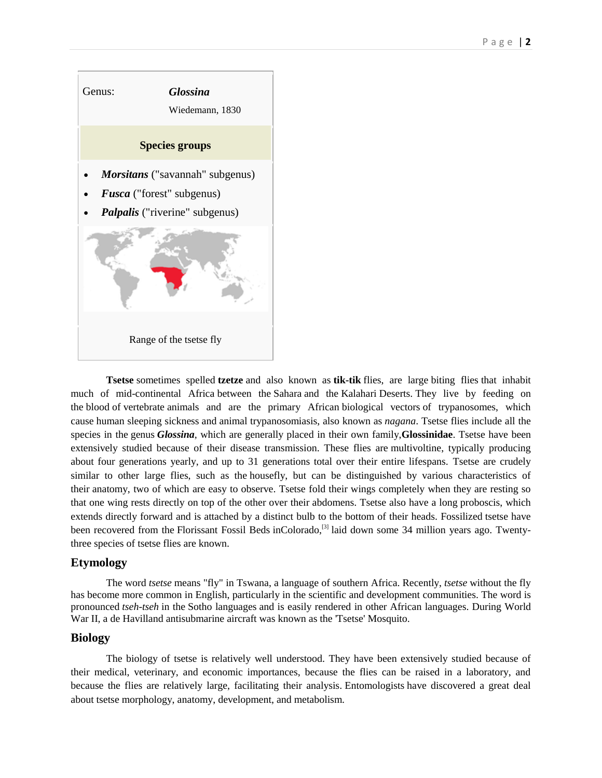

**Tsetse** sometimes spelled **tzetze** and also known as **tik-tik** flies, are large [biting flies](https://en.wikipedia.org/wiki/Biting_flies) that inhabit much of mid-continental [Africa](https://en.wikipedia.org/wiki/Africa) between the [Sahara](https://en.wikipedia.org/wiki/Sahara) and the [Kalahari](https://en.wikipedia.org/wiki/Kalahari) Deserts. They live by feeding on the [blood](https://en.wikipedia.org/wiki/Blood) of [vertebrate](https://en.wikipedia.org/wiki/Vertebrate) animals and are the primary African [biological vectors](https://en.wikipedia.org/wiki/Vector_(epidemiology)) of [trypanosomes,](https://en.wikipedia.org/wiki/Trypanosomes) which cause [human sleeping sickness](https://en.wikipedia.org/wiki/African_trypanosomiasis) and [animal trypanosomiasis,](https://en.wikipedia.org/wiki/Animal_trypanosomiasis) also known as *[nagana](https://en.wikipedia.org/wiki/Nagana)*. Tsetse flies include all the species in the [genus](https://en.wikipedia.org/wiki/Genus) *Glossina*, which are generally placed in their own family,**Glossinidae**. Tsetse have been extensively studied because of their disease transmission. These flies are [multivoltine,](https://en.wikipedia.org/wiki/Multivoltine) typically producing about four generations yearly, and up to 31 generations total over their entire lifespans. Tsetse are crudely similar to other large flies, such as the [housefly,](https://en.wikipedia.org/wiki/Housefly) but can be distinguished by various characteristics of their [anatomy,](https://en.wikipedia.org/wiki/Anatomy) two of which are easy to observe. Tsetse fold their wings completely when they are resting so that one wing rests directly on top of the other over their [abdomens.](https://en.wikipedia.org/wiki/Abdomen) Tsetse also have a long [proboscis,](https://en.wikipedia.org/wiki/Proboscis) which extends directly forward and is attached by a distinct bulb to the bottom of their heads. [Fossilized](https://en.wikipedia.org/wiki/Fossilized) tsetse have been recovered from the [Florissant Fossil Beds](https://en.wikipedia.org/wiki/Florissant_Fossil_Beds_National_Monument) i[nColorado,](https://en.wikipedia.org/wiki/Colorado)<sup>[\[3\]](https://en.wikipedia.org/wiki/Tsetse_fly#cite_note-cockerell-3)</sup> laid down some 34 million years ago. Twentythree species of tsetse flies are known.

## **Etymology**

The word *tsetse* means "fly" in [Tswana,](https://en.wikipedia.org/wiki/Tswana_language) a language of southern Africa. Recently, *tsetse* without the fly has become more common in [English,](https://en.wikipedia.org/wiki/English_language) particularly in the scientific and development communities. The word is pronounced *tseh-tseh* in the [Sotho languages](https://en.wikipedia.org/wiki/Sotho_languages) and is easily rendered in other African languages. During World War II, a [de Havilland](https://en.wikipedia.org/wiki/De_Havilland) antisubmarine aircraft was known as the 'Tsetse' [Mosquito.](https://en.wikipedia.org/wiki/De_Havilland_Mosquito#Fighter-bombers)

#### **Biology**

The biology of tsetse is relatively well understood. They have been extensively studied because of their medical, veterinary, and economic importances, because the flies can be raised in a laboratory, and because the flies are relatively large, facilitating their analysis. [Entomologists](https://en.wikipedia.org/wiki/Entomology) have discovered a great deal about tsetse [morphology,](https://en.wikipedia.org/wiki/Morphology_(biology)) [anatomy,](https://en.wikipedia.org/wiki/Anatomy) [development,](https://en.wikipedia.org/wiki/Morphogenesis) and metabolism.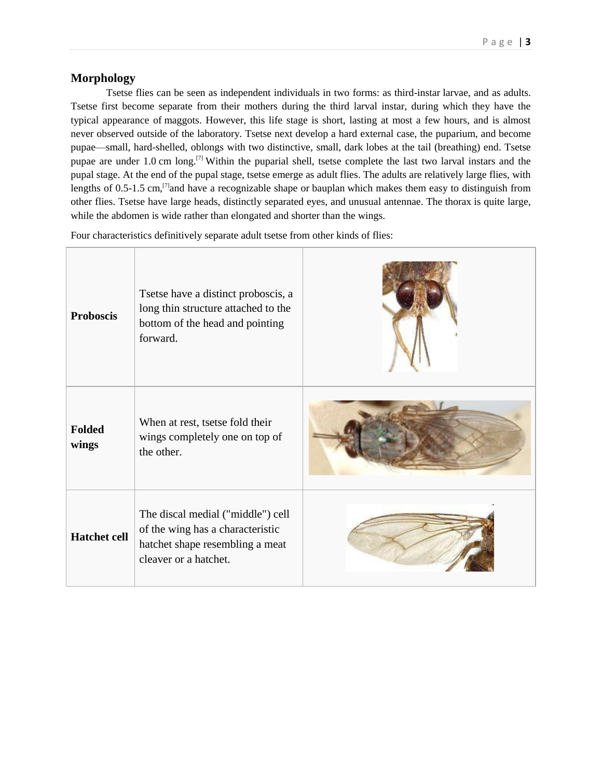## **Morphology**

Tsetse flies can be seen as independent individuals in two forms: as third[-instar](https://en.wikipedia.org/wiki/Instar) larvae, and as adults. Tsetse first become separate from their mothers during the third larval instar, during which they have the typical appearance of [maggots.](https://en.wikipedia.org/wiki/Fly#Maggots) However, this life stage is short, lasting at most a few hours, and is almost never observed outside of the laboratory. Tsetse next develop a hard external case, the puparium, and become pupae—small, hard-shelled, oblongs with two distinctive, small, dark lobes at the tail (breathing) end. Tsetse pupae are under 1.0 cm long.<sup>[\[7\]](https://en.wikipedia.org/wiki/Tsetse_fly#cite_note-Jordan-7)</sup> Within the puparial shell, tsetse complete the last two larval instars and the pupal stage. At the end of the pupal stage, tsetse emerge as adult flies. The adults are relatively large flies, with lengths of 0.5-1.5 cm,<sup>[\[7\]](https://en.wikipedia.org/wiki/Tsetse_fly#cite_note-Jordan-7)</sup>and have a recognizable shape or [bauplan](https://en.wikipedia.org/wiki/Bauplan) which makes them easy to distinguish from other flies. Tsetse have large heads, distinctly separated eyes, and unusual antennae. The [thorax](https://en.wikipedia.org/wiki/Thorax_(insect_anatomy)) is quite large, while the abdomen is wide rather than elongated and shorter than the wings.

Four characteristics definitively separate adult tsetse from other kinds of flies:

| <b>Proboscis</b>       | Tsetse have a distinct proboscis, a<br>long thin structure attached to the<br>bottom of the head and pointing<br>forward.         |  |
|------------------------|-----------------------------------------------------------------------------------------------------------------------------------|--|
| <b>Folded</b><br>wings | When at rest, tsetse fold their<br>wings completely one on top of<br>the other.                                                   |  |
| <b>Hatchet cell</b>    | The discal medial ("middle") cell<br>of the wing has a characteristic<br>hatchet shape resembling a meat<br>cleaver or a hatchet. |  |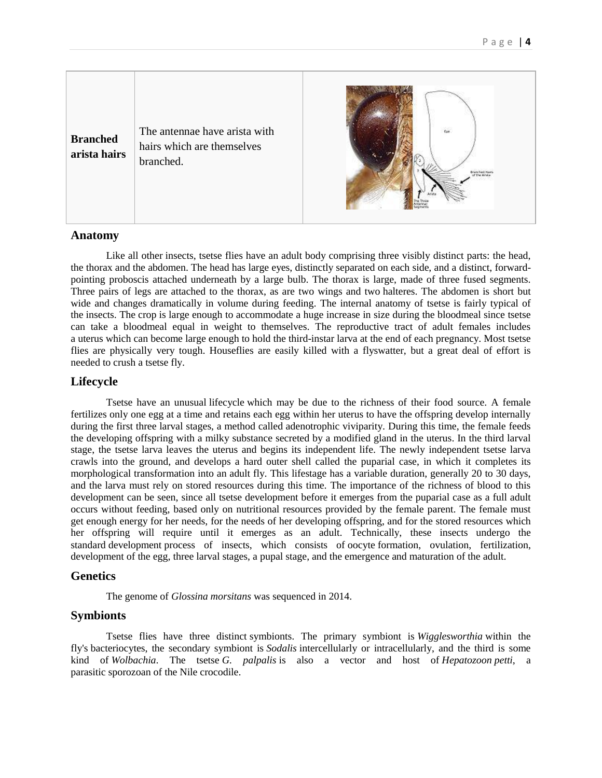

#### **Anatomy**

Like all other [insects,](https://en.wikipedia.org/wiki/Insect) tsetse flies have an adult body comprising three visibly distinct parts: the head, the thorax and the abdomen. The head has large eyes, distinctly separated on each side, and a distinct, forwardpointing proboscis attached underneath by a large bulb. The thorax is large, made of three fused segments. Three pairs of legs are attached to the thorax, as are two wings and two [halteres.](https://en.wikipedia.org/wiki/Halteres) The abdomen is short but wide and changes dramatically in volume during feeding. The internal anatomy of tsetse is fairly typical of the [insects.](https://en.wikipedia.org/wiki/Insect) The [crop](https://en.wikipedia.org/wiki/Crop_(anatomy)) is large enough to accommodate a huge increase in size during the bloodmeal since tsetse can take a bloodmeal equal in weight to themselves. The reproductive tract of adult females includes a [uterus](https://en.wikipedia.org/wiki/Uterus) which can become large enough to hold the third-instar [larva](https://en.wikipedia.org/wiki/Larva) at the end of each [pregnancy.](https://en.wikipedia.org/wiki/Pregnancy) Most tsetse flies are physically very tough. Houseflies are easily killed with a flyswatter, but a great deal of effort is needed to crush a tsetse fly.

#### **Lifecycle**

Tsetse have an unusual [lifecycle](https://en.wikipedia.org/wiki/Biological_life_cycle) which may be due to the richness of their food source. A female fertilizes only one egg at a time and retains each egg within her uterus to have the offspring develop internally during the first three larval stages, a method called [adenotrophic viviparity.](https://en.wikipedia.org/wiki/Adenotrophic_viviparity) During this time, the female feeds the developing offspring with a milky substance secreted by a modified gland in the uterus. In the third larval stage, the tsetse larva leaves the uterus and begins its independent life. The newly independent tsetse larva crawls into the ground, and develops a hard outer shell called the puparial case, in which it completes its morphological transformation into an adult fly. This lifestage has a variable duration, generally 20 to 30 days, and the larva must rely on stored resources during this time. The importance of the richness of blood to this development can be seen, since all tsetse development before it emerges from the puparial case as a full adult occurs without feeding, based only on nutritional resources provided by the female parent. The female must get enough energy for her needs, for the needs of her developing offspring, and for the stored resources which her offspring will require until it emerges as an adult. Technically, these insects undergo the standard [development](https://en.wikipedia.org/wiki/Morphogenesis) process of insects, which consists of [oocyte](https://en.wikipedia.org/wiki/Oocyte) formation, ovulation, fertilization, development of the egg, three [larval](https://en.wikipedia.org/wiki/Larva) stages, a [pupal](https://en.wikipedia.org/wiki/Pupa) stage, and the emergence and maturation of the adult.

#### **Genetics**

The genome of *Glossina morsitans* was sequenced in 2014.

#### **Symbionts**

Tsetse flies have three distinct [symbionts.](https://en.wikipedia.org/wiki/Endosymbiont) The primary symbiont is *[Wigglesworthia](https://en.wikipedia.org/wiki/Wigglesworthia_glossinidia)* within the fly's [bacteriocytes,](https://en.wikipedia.org/wiki/Bacteriocyte) the secondary symbiont is *[Sodalis](https://en.wikipedia.org/wiki/Sodalis)* intercellularly or intracellularly, and the third is some kind of *[Wolbachia](https://en.wikipedia.org/wiki/Wolbachia)*. The tsetse *G. palpalis* is also a vector and host of *[Hepatozoon](https://en.wikipedia.org/wiki/Hepatozoon) petti*, a parasitic [sporozoan](https://en.wikipedia.org/wiki/Sporozoa) of the [Nile crocodile.](https://en.wikipedia.org/wiki/Nile_crocodile)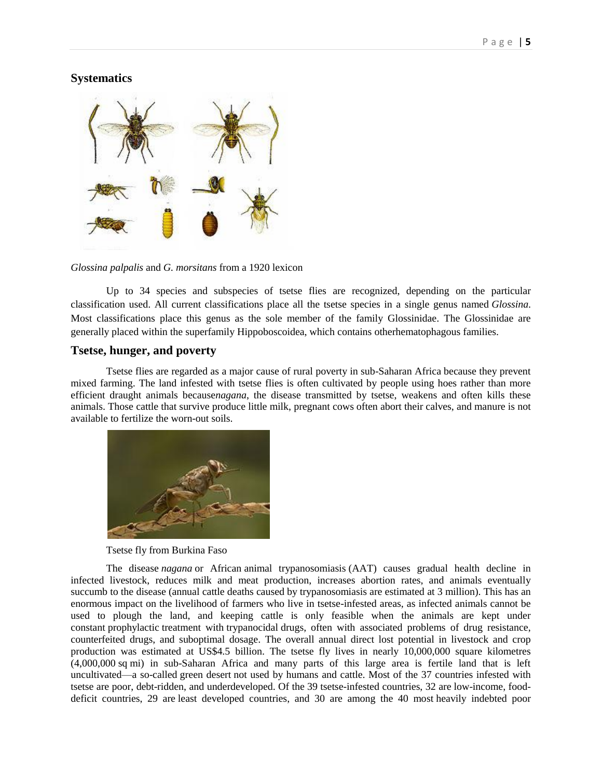## **Systematics**



*Glossina palpalis* and *G. morsitans* from a 1920 lexicon

Up to 34 species and subspecies of tsetse flies are recognized, depending on the particular classification used. All current classifications place all the tsetse species in a single genus named *Glossina*. Most classifications place this genus as the sole member of the family Glossinidae. The Glossinidae are generally placed within the superfamily [Hippoboscoidea,](https://en.wikipedia.org/wiki/Hippoboscoidea) which contains othe[rhematophagous](https://en.wikipedia.org/wiki/Hematophagous) families.

## **Tsetse, hunger, and poverty**

Tsetse flies are regarded as a major cause of rural poverty in [sub-Saharan Africa](https://en.wikipedia.org/wiki/Sub-Saharan_Africa) because they prevent mixed farming. The land infested with tsetse flies is often cultivated by people using hoes rather than more efficient draught animals because*[nagana](https://en.wikipedia.org/wiki/Nagana)*, the disease transmitted by tsetse, weakens and often kills these animals. Those cattle that survive produce little milk, pregnant cows often abort their calves, and manure is not available to fertilize the worn-out soils.



Tsetse fly from Burkina Faso

The disease *nagana* or African [animal trypanosomiasis](https://en.wikipedia.org/wiki/Animal_trypanosomiasis) (AAT) causes gradual health decline in infected livestock, reduces milk and meat production, increases abortion rates, and animals eventually succumb to the disease (annual cattle deaths caused by trypanosomiasis are estimated at 3 million). This has an enormous impact on the livelihood of farmers who live in tsetse-infested areas, as infected animals cannot be used to plough the land, and keeping cattle is only feasible when the animals are kept under constant [prophylactic](https://en.wikipedia.org/wiki/Prophylactic) treatment with [trypanocidal](https://en.wikipedia.org/w/index.php?title=Trypanocidal&action=edit&redlink=1) drugs, often with associated problems of drug resistance, counterfeited drugs, and suboptimal dosage. The overall annual direct lost potential in livestock and crop production was estimated at US\$4.5 billion. The tsetse fly lives in nearly 10,000,000 square kilometres (4,000,000 sq mi) in sub-Saharan Africa and many parts of this large area is fertile land that is left uncultivated—a so-called [green desert](https://en.wikipedia.org/w/index.php?title=Green_desert&action=edit&redlink=1) not used by humans and cattle. Most of the 37 countries infested with tsetse are poor, debt-ridden, and underdeveloped. Of the 39 tsetse-infested countries, 32 are [low-income, food](http://www.fao.org/countryprofiles/lifdc/en/)[deficit countries,](http://www.fao.org/countryprofiles/lifdc/en/) 29 are [least developed countries,](https://en.wikipedia.org/wiki/Least_developed_countries) and 30 are among the 40 most [heavily indebted poor](https://en.wikipedia.org/wiki/Heavily_indebted_poor_countries)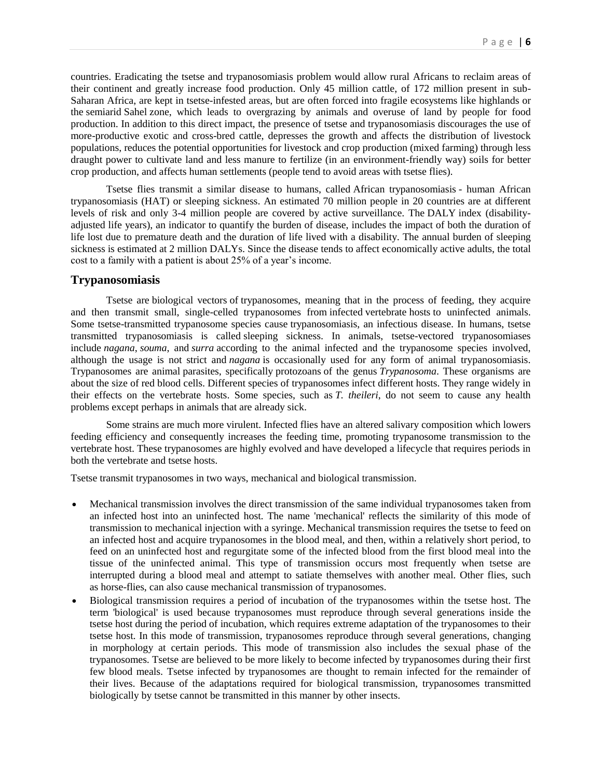countries. Eradicating the tsetse and trypanosomiasis problem would allow rural Africans to reclaim areas of their continent and greatly increase food production. Only 45 million cattle, of 172 million present in sub-Saharan Africa, are kept in tsetse-infested areas, but are often forced into fragile ecosystems like highlands or the [semiarid](https://en.wikipedia.org/wiki/Semiarid) [Sahel](https://en.wikipedia.org/wiki/Sahel) zone, which leads to overgrazing by animals and overuse of land by people for food production. In addition to this direct impact, the presence of tsetse and trypanosomiasis discourages the use of more-productive exotic and cross-bred cattle, depresses the growth and affects the distribution of livestock populations, reduces the potential opportunities for livestock and crop production (mixed farming) through less draught power to cultivate land and less manure to fertilize (in an environment-friendly way) soils for better crop production, and affects human settlements (people tend to avoid areas with tsetse flies).

Tsetse flies transmit a similar disease to humans, called [African trypanosomiasis](https://en.wikipedia.org/wiki/African_trypanosomiasis) - human African trypanosomiasis (HAT) or sleeping sickness. An estimated 70 million people in 20 countries are at different levels of risk and only 3-4 million people are covered by active surveillance. The [DALY](https://en.wikipedia.org/wiki/DALY) index (disabilityadjusted life years), an indicator to quantify the burden of disease, includes the impact of both the duration of life lost due to premature death and the duration of life lived with a disability. The annual burden of sleeping sickness is estimated at 2 million DALYs. Since the disease tends to affect economically active adults, the total cost to a family with a patient is about 25% of a year's income.

#### **Trypanosomiasis**

Tsetse are [biological vectors](https://en.wikipedia.org/wiki/Vector_(epidemiology)) of [trypanosomes,](https://en.wikipedia.org/wiki/Trypanosomes) meaning that in the process of feeding, they acquire and then transmit small, single-celled trypanosomes from [infected](https://en.wikipedia.org/wiki/Infection) [vertebrate](https://en.wikipedia.org/wiki/Vertebrate) [hosts](https://en.wikipedia.org/wiki/Host_(biology)) to uninfected animals. Some tsetse-transmitted trypanosome species cause [trypanosomiasis,](https://en.wikipedia.org/wiki/Trypanosomiasis) an infectious disease. In humans, tsetse transmitted trypanosomiasis is called [sleeping sickness.](https://en.wikipedia.org/wiki/African_trypanosomiasis) In animals, tsetse-vectored trypanosomiases include *nagana*, *souma*, and *[surra](https://en.wikipedia.org/wiki/Surra)* according to the animal infected and the trypanosome species involved, although the usage is not strict and *nagana* is occasionally used for any form of animal trypanosomiasis. Trypanosomes are animal [parasites,](https://en.wikipedia.org/wiki/Parasite) specifically [protozoans](https://en.wikipedia.org/wiki/Protozoa) of the genus *Trypanosoma*. These organisms are about the size of red blood cells. Different species of trypanosomes infect different hosts. They range widely in their effects on the vertebrate hosts. Some species, such as *T. theileri*, do not seem to cause any health problems except perhaps in animals that are already sick.

Some [strains](https://en.wikipedia.org/wiki/Strain_(biology)) are much more [virulent.](https://en.wikipedia.org/wiki/Virulence) Infected flies have an altered salivary composition which lowers feeding efficiency and consequently increases the feeding time, promoting trypanosome transmission to the vertebrate host. These trypanosomes are highly evolved and have developed a lifecycle that requires periods in both the vertebrate and tsetse hosts.

Tsetse transmit trypanosomes in two ways, mechanical and biological transmission.

- Mechanical transmission involves the direct transmission of the same individual trypanosomes taken from an infected host into an uninfected host. The name 'mechanical' reflects the similarity of this mode of transmission to mechanical injection with a [syringe.](https://en.wikipedia.org/wiki/Syringe) Mechanical transmission requires the tsetse to feed on an infected host and acquire trypanosomes in the blood meal, and then, within a relatively short period, to feed on an uninfected host and regurgitate some of the infected blood from the first blood meal into the tissue of the uninfected animal. This type of transmission occurs most frequently when tsetse are interrupted during a blood meal and attempt to satiate themselves with another meal. Other flies, such as [horse-flies,](https://en.wikipedia.org/wiki/Horse-fly) can also cause mechanical transmission of trypanosomes.
- Biological transmission requires a period of incubation of the trypanosomes within the tsetse host. The term 'biological' is used because trypanosomes must reproduce through several generations inside the tsetse host during the period of incubation, which requires extreme [adaptation](https://en.wikipedia.org/wiki/Adaptation_(biology)) of the trypanosomes to their tsetse host. In this mode of transmission, trypanosomes reproduce through several generations, changing in morphology at certain periods. This mode of transmission also includes the sexual phase of the trypanosomes. Tsetse are believed to be more likely to become infected by trypanosomes during their first few blood meals. Tsetse infected by trypanosomes are thought to remain infected for the remainder of their lives. Because of the adaptations required for biological transmission, trypanosomes transmitted biologically by tsetse cannot be transmitted in this manner by other insects.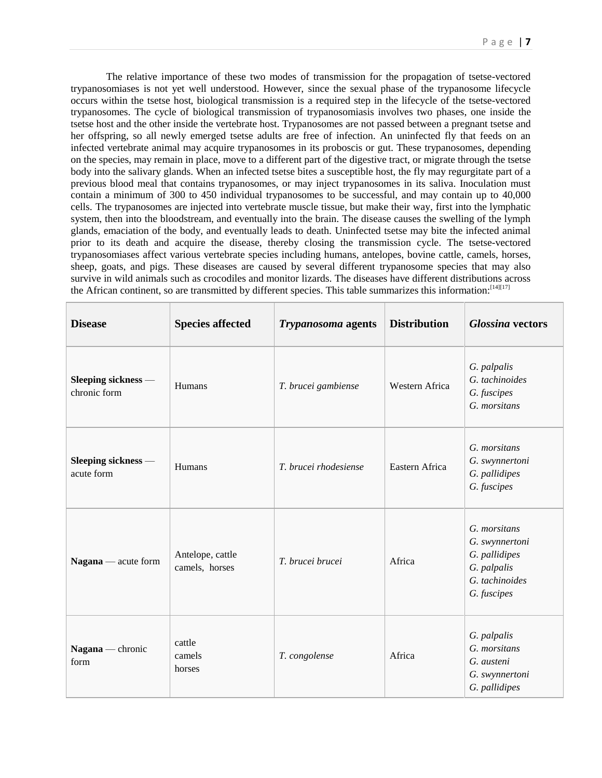The relative importance of these two modes of transmission for the propagation of tsetse-vectored trypanosomiases is not yet well understood. However, since the sexual phase of the trypanosome lifecycle occurs within the tsetse host, biological transmission is a required step in the lifecycle of the tsetse-vectored trypanosomes. The cycle of biological transmission of trypanosomiasis involves two phases, one inside the tsetse host and the other inside the vertebrate host. Trypanosomes are not passed between a pregnant tsetse and her offspring, so all newly emerged tsetse adults are free of infection. An uninfected fly that feeds on an infected vertebrate animal may acquire trypanosomes in its proboscis or gut. These trypanosomes, depending on the species, may remain in place, move to a different part of the digestive tract, or migrate through the tsetse body into the salivary glands. When an infected tsetse bites a susceptible host, the fly may regurgitate part of a previous blood meal that contains trypanosomes, or may inject trypanosomes in its saliva. Inoculation must contain a minimum of 300 to 450 individual trypanosomes to be successful, and may contain up to 40,000 cells. The trypanosomes are injected into vertebrate muscle tissue, but make their way, first into the [lymphatic](https://en.wikipedia.org/wiki/Lymphatic_system)  [system,](https://en.wikipedia.org/wiki/Lymphatic_system) then into the bloodstream, and eventually into the brain. The disease causes the swelling of the lymph glands, emaciation of the body, and eventually leads to death. Uninfected tsetse may bite the infected animal prior to its death and acquire the disease, thereby closing the transmission cycle. The tsetse-vectored trypanosomiases affect various vertebrate species including humans, antelopes, bovine cattle, camels, horses, sheep, goats, and pigs. These diseases are caused by several different trypanosome species that may also survive in wild animals such as crocodiles and monitor lizards. The diseases have different distributions across the African continent, so are transmitted by different species. This table summarizes this information: [\[14\]\[17\]](https://en.wikipedia.org/wiki/Tsetse_fly#cite_note-Hoare-14)

| <b>Disease</b>                      | <b>Species affected</b>            | <b>Trypanosoma</b> agents | <b>Distribution</b> | <b>Glossina vectors</b>                                                                         |
|-------------------------------------|------------------------------------|---------------------------|---------------------|-------------------------------------------------------------------------------------------------|
| Sleeping sickness -<br>chronic form | Humans                             | T. brucei gambiense       | Western Africa      | G. palpalis<br>G. tachinoides<br>G. fuscipes<br>G. morsitans                                    |
| Sleeping sickness -<br>acute form   | Humans                             | T. brucei rhodesiense     | Eastern Africa      | G. morsitans<br>G. swynnertoni<br>G. pallidipes<br>G. fuscipes                                  |
| $Nagana$ — acute form               | Antelope, cattle<br>camels, horses | T. brucei brucei          | Africa              | G. morsitans<br>G. swynnertoni<br>G. pallidipes<br>G. palpalis<br>G. tachinoides<br>G. fuscipes |
| Nagana — chronic<br>form            | cattle<br>camels<br>horses         | T. congolense             | Africa              | G. palpalis<br>G. morsitans<br>G. austeni<br>G. swynnertoni<br>G. pallidipes                    |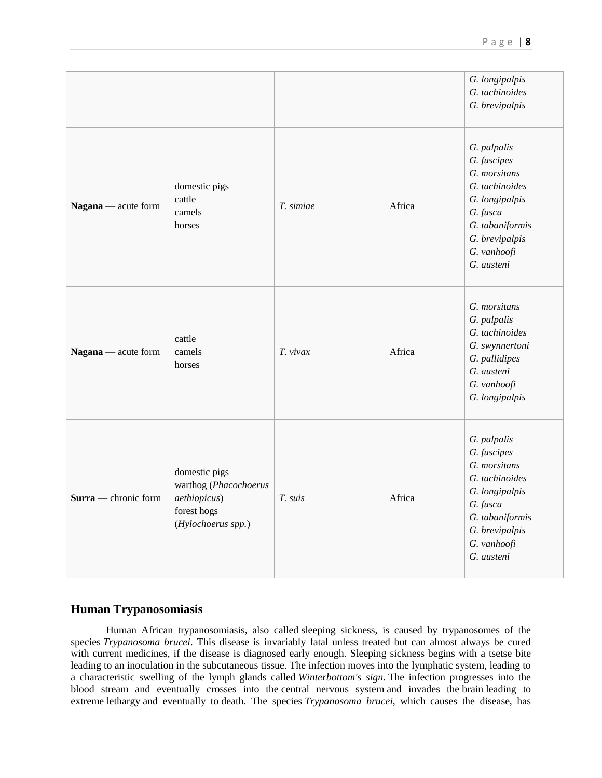|                      |                                                                                             |           |        | G. longipalpis<br>G. tachinoides<br>G. brevipalpis                                                                                                           |
|----------------------|---------------------------------------------------------------------------------------------|-----------|--------|--------------------------------------------------------------------------------------------------------------------------------------------------------------|
| Nagana — acute form  | domestic pigs<br>cattle<br>camels<br>horses                                                 | T. simiae | Africa | G. palpalis<br>G. fuscipes<br>G. morsitans<br>G. tachinoides<br>G. longipalpis<br>G. fusca<br>G. tabaniformis<br>G. brevipalpis<br>G. vanhoofi<br>G. austeni |
| Nagana — acute form  | cattle<br>camels<br>horses                                                                  | T. vivax  | Africa | G. morsitans<br>G. palpalis<br>G. tachinoides<br>G. swynnertoni<br>G. pallidipes<br>G. austeni<br>G. vanhoofi<br>G. longipalpis                              |
| Surra — chronic form | domestic pigs<br>warthog (Phacochoerus<br>aethiopicus)<br>forest hogs<br>(Hylochoerus spp.) | T. suis   | Africa | G. palpalis<br>G. fuscipes<br>G. morsitans<br>G. tachinoides<br>G. longipalpis<br>G. fusca<br>G. tabaniformis<br>G. brevipalpis<br>G. vanhoofi<br>G. austeni |

## **Human Trypanosomiasis**

Human African trypanosomiasis, also called [sleeping sickness,](https://en.wikipedia.org/wiki/African_trypanosomiasis) is caused by trypanosomes of the species *Trypanosoma brucei*. This disease is invariably fatal unless treated but can almost always be cured with current medicines, if the disease is diagnosed early enough. Sleeping sickness begins with a tsetse bite leading to an inoculation in the subcutaneous tissue. The infection moves into the [lymphatic system,](https://en.wikipedia.org/wiki/Lymphatic_system) leading to a characteristic swelling of the lymph glands called *Winterbottom's sign*. The infection progresses into the blood stream and eventually crosses into the [central nervous system](https://en.wikipedia.org/wiki/Central_nervous_system) and invades the [brain](https://en.wikipedia.org/wiki/Brain) leading to extreme [lethargy](https://en.wikipedia.org/wiki/Lethargy) and eventually to [death.](https://en.wikipedia.org/wiki/Death) The species *Trypanosoma brucei*, which causes the disease, has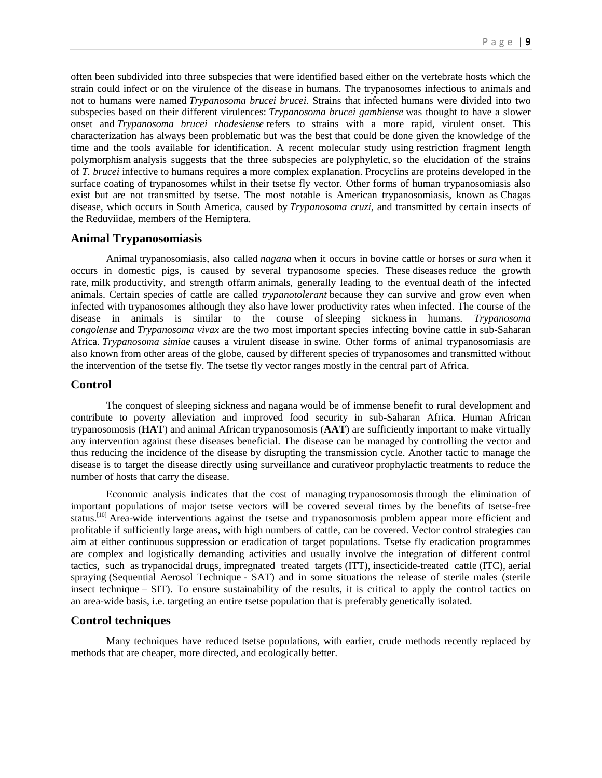often been subdivided into three subspecies that were identified based either on the vertebrate hosts which the strain could infect or on the virulence of the disease in humans. The trypanosomes infectious to animals and not to humans were named *Trypanosoma brucei brucei*. Strains that infected humans were divided into two subspecies based on their different virulences: *Trypanosoma brucei gambiense* was thought to have a slower onset and *Trypanosoma brucei rhodesiense* refers to strains with a more rapid, virulent onset. This characterization has always been problematic but was the best that could be done given the knowledge of the time and the tools available for identification. A recent molecular study using [restriction fragment length](https://en.wikipedia.org/wiki/Restriction_fragment_length_polymorphism)  [polymorphism](https://en.wikipedia.org/wiki/Restriction_fragment_length_polymorphism) analysis suggests that the three subspecies are [polyphyletic,](https://en.wikipedia.org/wiki/Polyphyletic) so the elucidation of the strains of *T. brucei* infective to humans requires a more complex explanation. [Procyclins](https://en.wikipedia.org/wiki/Procyclin) are [proteins](https://en.wikipedia.org/wiki/Protein) developed in the surface coating of trypanosomes whilst in their tsetse fly vector. Other forms of human trypanosomiasis also exist but are not transmitted by tsetse. The most notable is American trypanosomiasis, known as [Chagas](https://en.wikipedia.org/wiki/Chagas_disease)  [disease,](https://en.wikipedia.org/wiki/Chagas_disease) which occurs in [South America,](https://en.wikipedia.org/wiki/South_America) caused by *Trypanosoma cruzi*, and transmitted by certain insects of the [Reduviidae,](https://en.wikipedia.org/wiki/Reduviidae) members of the [Hemiptera.](https://en.wikipedia.org/wiki/Hemiptera)

#### **Animal Trypanosomiasis**

Animal [trypanosomiasis,](https://en.wikipedia.org/wiki/Trypanosomiasis) also called *nagana* when it occurs in [bovine cattle](https://en.wikipedia.org/wiki/Cattle) or [horses](https://en.wikipedia.org/wiki/Horse) or *sura* when it occurs in domestic [pigs,](https://en.wikipedia.org/wiki/Pig) is caused by several trypanosome species. These [diseases](https://en.wikipedia.org/wiki/Disease) reduce the growth rate, [milk](https://en.wikipedia.org/wiki/Milk) productivity, and strength o[ffarm](https://en.wikipedia.org/wiki/Farm) animals, generally leading to the eventual [death](https://en.wikipedia.org/wiki/Death) of the infected animals. Certain species of cattle are called *trypanotolerant* because they can survive and grow even when infected with trypanosomes although they also have lower productivity rates when infected. The course of the disease in animals is similar to the course of [sleeping sickness](https://en.wikipedia.org/wiki/African_trypanosomiasis) in humans. *Trypanosoma congolense* and *Trypanosoma vivax* are the two most important species infecting bovine cattle in [sub-Saharan](https://en.wikipedia.org/wiki/Sub-Saharan_Africa)  [Africa.](https://en.wikipedia.org/wiki/Sub-Saharan_Africa) *Trypanosoma simiae* causes a virulent disease in [swine.](https://en.wikipedia.org/wiki/Swine) Other forms of animal trypanosomiasis are also known from other areas of the globe, caused by different species of trypanosomes and transmitted without the intervention of the tsetse fly. The tsetse fly vector ranges mostly in the central part of Africa.

#### **Control**

The conquest of [sleeping sickness](https://en.wikipedia.org/wiki/African_trypanosomiasis) and [nagana](https://en.wikipedia.org/wiki/Nagana) would be of immense benefit to rural development and contribute to poverty alleviation and improved food security in sub-Saharan Africa. Human African trypanosomosis (**HAT**) and animal African trypanosomosis (**AAT**) are sufficiently important to make virtually any intervention against these diseases beneficial. The disease can be managed by controlling the vector and thus reducing the incidence of the disease by disrupting the transmission cycle. Another tactic to manage the disease is to target the disease directly using surveillance and [curativeo](https://en.wikipedia.org/wiki/Curative_care)r [prophylactic](https://en.wikipedia.org/wiki/Prophylactic) treatments to reduce the number of hosts that carry the disease.

Economic analysis indicates that the cost of managing [trypanosomosis](https://en.wikipedia.org/wiki/Trypanosomosis) through the elimination of important populations of major tsetse vectors will be covered several times by the benefits of tsetse-free status.<sup>[\[10\]](https://en.wikipedia.org/wiki/Tsetse_fly#cite_note-Budd.2C_L_1999-10)</sup> Area-wide interventions against the tsetse and trypanosomosis problem appear more efficient and profitable if sufficiently large areas, with high numbers of cattle, can be covered. Vector control strategies can aim at either continuous [suppression or eradication](https://en.wikipedia.org/wiki/Pest_control) of target populations. Tsetse fly eradication programmes are complex and logistically demanding activities and usually involve the integration of different control tactics, such as [trypanocidal](https://en.wikipedia.org/w/index.php?title=Trypanocidal&action=edit&redlink=1) drugs, [impregnated treated targets](https://en.wikipedia.org/w/index.php?title=Impregnated_treated_targets&action=edit&redlink=1) (ITT), [insecticide-treated cattle](https://en.wikipedia.org/w/index.php?title=Insecticide-treated_cattle&action=edit&redlink=1) (ITC), [aerial](https://en.wikipedia.org/wiki/Aerial_spraying)  [spraying](https://en.wikipedia.org/wiki/Aerial_spraying) [\(Sequential Aerosol Technique](https://en.wikipedia.org/w/index.php?title=Sequential_Aerosol_Technique&action=edit&redlink=1) - SAT) and in some situations the release of sterile males [\(sterile](https://en.wikipedia.org/wiki/Sterile_insect_technique)  [insect technique](https://en.wikipedia.org/wiki/Sterile_insect_technique) – SIT). To ensure sustainability of the results, it is critical to apply the control tactics on an area-wide basis, i.e. targeting an entire tsetse population that is preferably [genetically isolated.](https://en.wikipedia.org/w/index.php?title=Genetically_isolated&action=edit&redlink=1)

#### **Control techniques**

Many techniques have reduced tsetse populations, with earlier, crude methods recently replaced by methods that are cheaper, more directed, and ecologically better.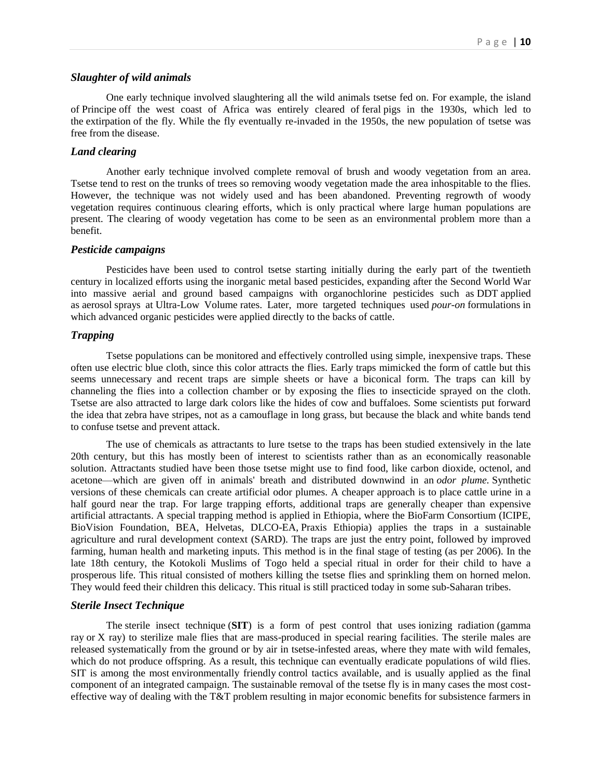#### *Slaughter of wild animals*

One early technique involved slaughtering all the wild animals tsetse fed on. For example, the island of [Principe](https://en.wikipedia.org/wiki/Principe) off the west coast of Africa was entirely cleared of [feral](https://en.wikipedia.org/wiki/Feral) pigs in the 1930s, which led to the [extirpation](https://en.wikipedia.org/wiki/Local_extinction) of the fly. While the fly eventually re-invaded in the 1950s, the new population of tsetse was free from the disease.

## *Land clearing*

Another early technique involved complete removal of brush and woody vegetation from an area. Tsetse tend to rest on the trunks of trees so removing woody vegetation made the area inhospitable to the flies. However, the technique was not widely used and has been abandoned. Preventing regrowth of woody vegetation requires continuous clearing efforts, which is only practical where large human populations are present. The clearing of woody vegetation has come to be seen as an environmental problem more than a benefit.

#### *Pesticide campaigns*

[Pesticides](https://en.wikipedia.org/wiki/Pesticides) have been used to control tsetse starting initially during the early part of the twentieth century in localized efforts using the inorganic metal based pesticides, expanding after the Second World War into massive aerial and ground based campaigns with organochlorine pesticides such as [DDT](https://en.wikipedia.org/wiki/DDT) applied as [aerosol](https://en.wikipedia.org/wiki/Aerosol) sprays at [Ultra-Low Volume](https://en.wikipedia.org/wiki/Ultra-Low_Volume) rates. Later, more targeted techniques used *pour-on* [formulations](https://en.wikipedia.org/wiki/Pesticide_formulation) in which advanced organic pesticides were applied directly to the backs of cattle.

#### *Trapping*

Tsetse populations can be monitored and effectively controlled using simple, inexpensive traps. These often use electric blue cloth, since this color attracts the flies. Early traps mimicked the form of cattle but this seems unnecessary and recent traps are simple sheets or have a biconical form. The traps can kill by channeling the flies into a collection chamber or by exposing the flies to insecticide sprayed on the cloth. Tsetse are also attracted to large dark colors like the hides of cow and buffaloes. Some scientists put forward the idea that [zebra](https://en.wikipedia.org/wiki/Zebra) have stripes, not as a camouflage in long grass, but because the black and white bands tend to confuse tsetse and prevent attack.

The use of chemicals as attractants to lure tsetse to the traps has been studied extensively in the late 20th century, but this has mostly been of interest to scientists rather than as an economically reasonable solution. Attractants studied have been those tsetse might use to find food, like carbon dioxide, octenol, and acetone—which are given off in animals' breath and distributed downwind in an *odor plume.* Synthetic versions of these chemicals can create artificial odor plumes. A cheaper approach is to place cattle urine in a half gourd near the trap. For large trapping efforts, additional traps are generally cheaper than expensive artificial attractants. A special trapping method is applied in Ethiopia, where the BioFarm Consortium (ICIPE, BioVision Foundation, BEA, Helvetas, DLCO-EA, [Praxis Ethiopia\)](https://en.wikipedia.org/wiki/Praxis_Ethiopia) applies the traps in a sustainable agriculture and rural development context (SARD). The traps are just the entry point, followed by improved farming, human health and marketing inputs. This method is in the final stage of testing (as per 2006). In the late 18th century, the Kotokoli Muslims of Togo held a special ritual in order for their child to have a prosperous life. This ritual consisted of mothers killing the tsetse flies and sprinkling them on horned melon. They would feed their children this delicacy. This ritual is still practiced today in some sub-Saharan tribes.

#### *Sterile Insect Technique*

The [sterile insect technique](https://en.wikipedia.org/wiki/Sterile_insect_technique) (**SIT**) is a form of pest control that uses [ionizing radiation](https://en.wikipedia.org/wiki/Ionizing_radiation) [\(gamma](https://en.wikipedia.org/wiki/Gamma_ray)  [ray](https://en.wikipedia.org/wiki/Gamma_ray) or [X ray\)](https://en.wikipedia.org/wiki/X_ray) to sterilize male flies that are mass-produced in special rearing facilities. The sterile males are released systematically from the ground or by air in tsetse-infested areas, where they mate with wild females, which do not produce offspring. As a result, this technique can eventually eradicate populations of wild flies. SIT is among the most [environmentally friendly](https://en.wikipedia.org/wiki/Environmentally_friendly) control tactics available, and is usually applied as the final component of an integrated campaign. The sustainable removal of the tsetse fly is in many cases the most costeffective way of dealing with the T&T problem resulting in major economic benefits for subsistence farmers in